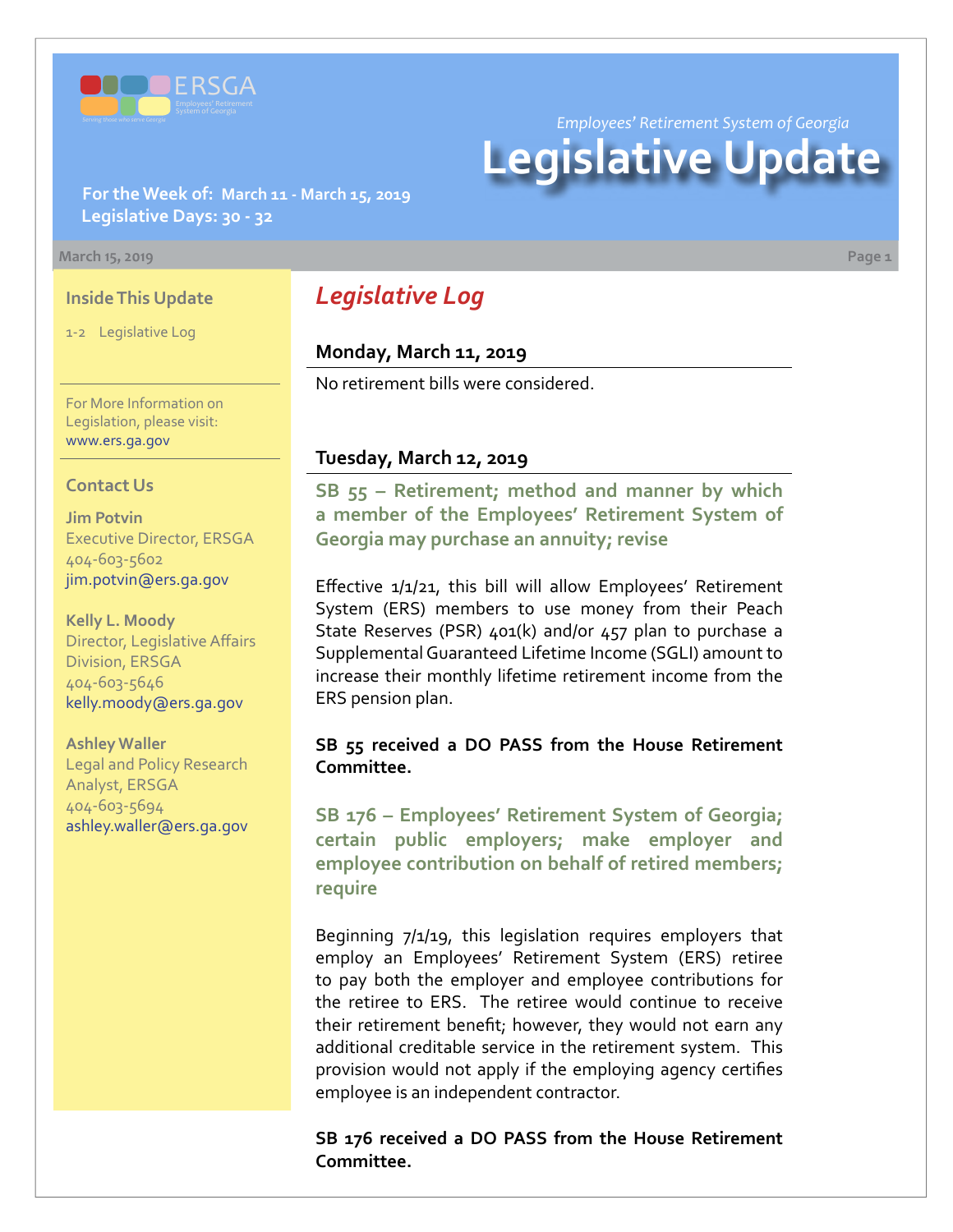

*Employees' Retirement System of Georgia*

# **Legislative Update**

**For the Week of: March 11 - March 15, 2019 Legislative Days: 30 - 32**

#### **March 15, 2019 Page 1**

#### **Inside This Update**

1-2 Legislative Log

For More Information on Legislation, please visit: [www.ers.ga.gov](http://www.ers.ga.gov/)

#### **Contact Us**

**Jim Potvin** Executive Director, ERSGA 404-603-5602 jim.potvin@ers.ga.gov

**Kelly L. Moody** Director, Legislative Affairs Division, ERSGA 404-603-5646 kelly.moody@ers.ga.gov

**Ashley Waller** Legal and Policy Research Analyst, ERSGA 404-603-5694 ashley.waller@ers.ga.gov

# *Legislative Log*

#### **Monday, March 11, 2019**

No retirement bills were considered.

#### **Tuesday, March 12, 2019**

**SB 5[5 –](http://www.legis.ga.gov/legislation/en-US/Display/20192020/SB/55) Retirement; method and manner by which a member of the Employees' Retirement System of Georgia may purchase an annuity; revise**

Effective 1/1/21, this bill will allow Employees' Retirement System (ERS) members to use money from their Peach State Reserves (PSR) 401(k) and/or 457 plan to purchase a Supplemental Guaranteed Lifetime Income (SGLI) amount to increase their monthly lifetime retirement income from the ERS pension plan.

#### **SB 55 received a DO PASS from the House Retirement Committee.**

**SB 17[6 – E](http://www.legis.ga.gov/legislation/en-US/Display/20192020/SB/176)mployees' Retirement System of Georgia; certain public employers; make employer and employee contribution on behalf of retired members; require**

Beginning 7/1/19, this legislation requires employers that employ an Employees' Retirement System (ERS) retiree to pay both the employer and employee contributions for the retiree to ERS. The retiree would continue to receive their retirement benefit; however, they would not earn any additional creditable service in the retirement system. This provision would not apply if the employing agency certifies employee is an independent contractor.

**SB 176 received a DO PASS from the House Retirement Committee.**